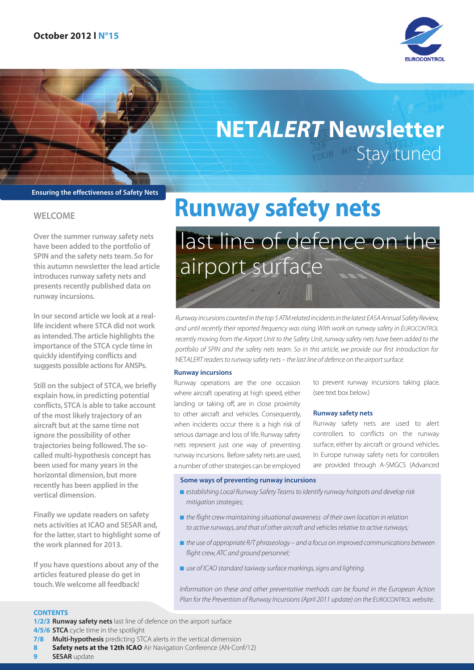

## NET*ALERT* Newsletter **Stay tuned**

#### Ensuring the effectiveness of Safety Nets

#### WELCOME

Over the summer runway safety nets have been added to the portfolio of SPIN and the safety nets team. So for this autumn newsletter the lead article introduces runway safety nets and presents recently published data on runway incursions.

In our second article we look at a reallife incident where STCA did not work as intended. The article highlights the importance of the STCA cycle time in quickly identifying conflicts and suggests possible actions for ANSPs.

Still on the subject of STCA, we briefly explain how, in predicting potential conflicts, STCA is able to take account of the most likely trajectory of an aircraft but at the same time not ignore the possibility of other trajectories being followed. The socalled multi-hypothesis concept has been used for many years in the horizontal dimension, but more recently has been applied in the vertical dimension.

Finally we update readers on safety nets activities at ICAO and SESAR and, for the latter, start to highlight some of the work planned for 2013.

If you have questions about any of the articles featured please do get in touch. We welcome all feedback!

## Runway safety nets last line of defence on the airport surface

*Runway incursions counted in the top 5 ATM related incidents in the latest EASA Annual Safety Review, and until recently their reported frequency was rising. With work on runway safety in EUROCONTROL recently moving from the Airport Unit to the Safety Unit, runway safety nets have been added to the portfolio of SPIN and the safety nets team. So in this article, we provide our first introduction for*  NET*ALERT readers to runway safety nets – the last line of defence on the airport surface.*

#### Runway incursions

Runway operations are the one occasion where aircraft operating at high speed, either landing or taking off, are in close proximity to other aircraft and vehicles. Consequently, when incidents occur there is a high risk of serious damage and loss of life. Runway safety nets represent just one way of preventing runway incursions. Before safety nets are used, a number of other strategies can be employed

to prevent runway incursions taking place. (see text box below.)

#### Runway safety nets

Runway safety nets are used to alert controllers to conflicts on the runway surface, either by aircraft or ground vehicles. In Europe runway safety nets for controllers are provided through A-SMGCS (Advanced

#### Some ways of preventing runway incursions

- *establishing Local Runway Safety Teams to identify runway hotspots and develop risk mitigation strategies;*
- *the flight crew maintaining situational awareness of their own location in relation to active runways, and that of other aircraft and vehicles relative to active runways;*
- *the use of appropriate R/T phraseology and a focus on improved communications between flight crew, ATC and ground personnel;*
- *use of ICAO standard taxiway surface markings, signs and lighting.*

*Information on these and other preventative methods can be found in the European Action Plan for the Prevention of Runway Incursions (April 2011 update) on the EUROCONTROL website.*

#### **CONTENTS**

1/2/3 Runway safety nets last line of defence on the airport surface 4/5/6 STCA cycle time in the spotlight

- 7/8 Multi-hypothesis predicting STCA alerts in the vertical dimension
- **Safety nets at the 12th ICAO** Air Navigation Conference (AN-Conf/12)
- SESAR update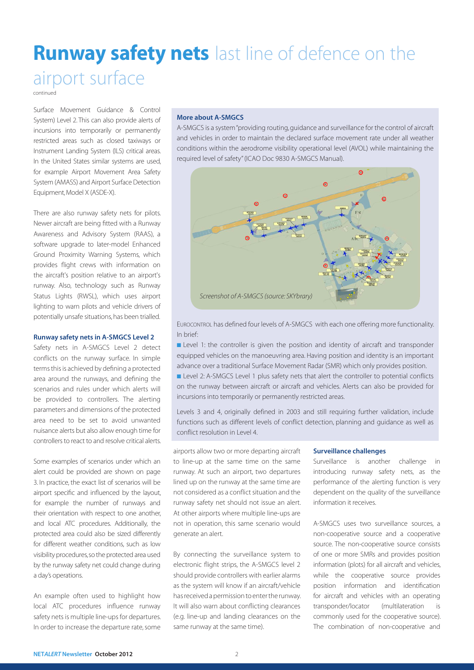### **Runway safety nets** last line of defence on the airport surface

continued

Surface Movement Guidance & Control System) Level 2. This can also provide alerts of incursions into temporarily or permanently restricted areas such as closed taxiways or Instrument Landing System (ILS) critical areas. In the United States similar systems are used, for example Airport Movement Area Safety System (AMASS) and Airport Surface Detection Equipment, Model X (ASDE-X).

There are also runway safety nets for pilots. Newer aircraft are being fitted with a Runway Awareness and Advisory System (RAAS), a software upgrade to later-model Enhanced Ground Proximity Warning Systems, which provides flight crews with information on the aircraft's position relative to an airport's runway. Also, technology such as Runway Status Lights (RWSL), which uses airport lighting to warn pilots and vehicle drivers of potentially unsafe situations, has been trialled.

#### Runway safety nets in A-SMGCS Level 2

Safety nets in A-SMGCS Level 2 detect conflicts on the runway surface. In simple terms this is achieved by defining a protected area around the runways, and defining the scenarios and rules under which alerts will be provided to controllers. The alerting parameters and dimensions of the protected area need to be set to avoid unwanted nuisance alerts but also allow enough time for controllers to react to and resolve critical alerts.

Some examples of scenarios under which an alert could be provided are shown on page 3. In practice, the exact list of scenarios will be airport specific and influenced by the layout, for example the number of runways and their orientation with respect to one another, and local ATC procedures. Additionally, the protected area could also be sized differently for different weather conditions, such as low visibility procedures, so the protected area used by the runway safety net could change during a day's operations.

An example often used to highlight how local ATC procedures influence runway safety nets is multiple line-ups for departures. In order to increase the departure rate, some

#### More about A-SMGCS

A-SMGCS is a system "providing routing, guidance and surveillance for the control of aircraft and vehicles in order to maintain the declared surface movement rate under all weather conditions within the aerodrome visibility operational level (AVOL) while maintaining the required level of safety" (ICAO Doc 9830 A-SMGCS Manual).



EUROCONTROL has defined four levels of A-SMGCS with each one offering more functionality. In brief:

■ Level 1: the controller is given the position and identity of aircraft and transponder equipped vehicles on the manoeuvring area. Having position and identity is an important advance over a traditional Surface Movement Radar (SMR) which only provides position.

■ Level 2: A-SMGCS Level 1 plus safety nets that alert the controller to potential conflicts on the runway between aircraft or aircraft and vehicles. Alerts can also be provided for incursions into temporarily or permanently restricted areas.

Levels 3 and 4, originally defined in 2003 and still requiring further validation, include functions such as different levels of conflict detection, planning and guidance as well as conflict resolution in Level 4.

airports allow two or more departing aircraft to line-up at the same time on the same runway. At such an airport, two departures lined up on the runway at the same time are not considered as a conflict situation and the runway safety net should not issue an alert. At other airports where multiple line-ups are not in operation, this same scenario would generate an alert.

By connecting the surveillance system to electronic flight strips, the A-SMGCS level 2 should provide controllers with earlier alarms as the system will know if an aircraft/vehicle has received a permission to enter the runway. It will also warn about conflicting clearances (e.g. line-up and landing clearances on the same runway at the same time).

#### Surveillance challenges

Surveillance is another challenge in introducing runway safety nets, as the performance of the alerting function is very dependent on the quality of the surveillance information it receives.

A-SMGCS uses two surveillance sources, a non-cooperative source and a cooperative source. The non-cooperative source consists of one or more SMRs and provides position information (plots) for all aircraft and vehicles, while the cooperative source provides position information and identification for aircraft and vehicles with an operating transponder/locator (multilateration is commonly used for the cooperative source). The combination of non-cooperative and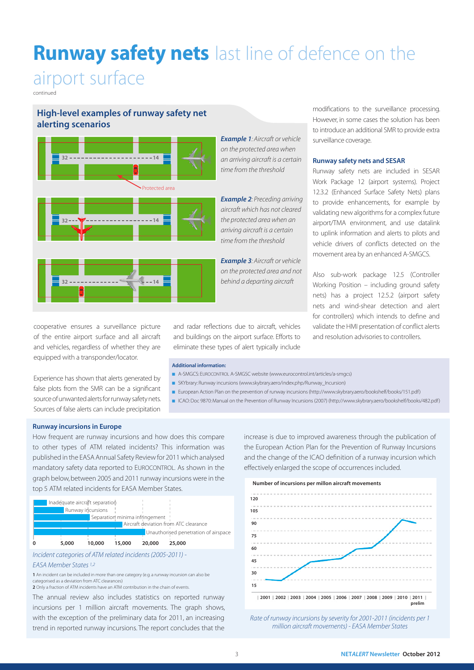### **Runway safety nets** last line of defence on the

### airport surface

continued

#### High-level examples of runway safety net alerting scenarios



cooperative ensures a surveillance picture of the entire airport surface and all aircraft and vehicles, regardless of whether they are equipped with a transponder/locator.

Experience has shown that alerts generated by false plots from the SMR can be a significant source of unwanted alerts for runway safety nets. Sources of false alerts can include precipitation

*Example 1: Aircraft or vehicle on the protected area when an arriving aircraft is a certain time from the threshold*

*Example 2: Preceding arriving aircraft which has not cleared the protected area when an arriving aircraft is a certain time from the threshold*

*Example 3: Aircraft or vehicle on the protected area and not behind a departing aircraft*

and radar reflections due to aircraft, vehicles and buildings on the airport surface. Efforts to eliminate these types of alert typically include

Additional information:

- A-SMGCS: EUROCONTROL A-SMGSC website (www.eurocontrol.int/articles/a-smgcs)
- SKYbrary: Runway incursions (www.skybrary.aero/index.php/Runway\_Incursion)
- European Action Plan on the prevention of runway incursions (http://www.skybrary.aero/bookshelf/books/151.pdf)
- ICAO: Doc 9870: Manual on the Prevention of Runway Incursions (2007) (http://www.skybrary.aero/bookshelf/books/482.pdf)

Runway incursions in Europe

How frequent are runway incursions and how does this compare to other types of ATM related incidents? This information was published in the EASA Annual Safety Review for 2011 which analysed mandatory safety data reported to EUROCONTROL. As shown in the graph below, between 2005 and 2011 runway incursions were in the top 5 ATM related incidents for EASA Member States.





#### *EASA Member States 1,2*

1 An incident can be included in more than one category (e.g. a runway incursion can also be categorised as a deviation from ATC clearances)

2 Only a fraction of ATM incidents have an ATM contribution in the chain of events.

The annual review also includes statistics on reported runway incursions per 1 million aircraft movements. The graph shows, with the exception of the preliminary data for 2011, an increasing trend in reported runway incursions. The report concludes that the

increase is due to improved awareness through the publication of the European Action Plan for the Prevention of Runway Incursions and the change of the ICAO definition of a runway incursion which effectively enlarged the scope of occurrences included.



*Rate of runway incursions by severity for 2001-2011 (incidents per 1 million aircraft movements) - EASA Member States*

modifications to the surveillance processing. However, in some cases the solution has been to introduce an additional SMR to provide extra surveillance coverage.

#### Runway safety nets and SESAR

Runway safety nets are included in SESAR Work Package 12 (airport systems). Project 12.3.2 (Enhanced Surface Safety Nets) plans to provide enhancements, for example by validating new algorithms for a complex future airport/TMA environment, and use datalink to uplink information and alerts to pilots and vehicle drivers of conflicts detected on the movement area by an enhanced A-SMGCS.

Also sub-work package 12.5 (Controller Working Position – including ground safety nets) has a project 12.5.2 (airport safety nets and wind-shear detection and alert for controllers) which intends to define and validate the HMI presentation of conflict alerts and resolution advisories to controllers.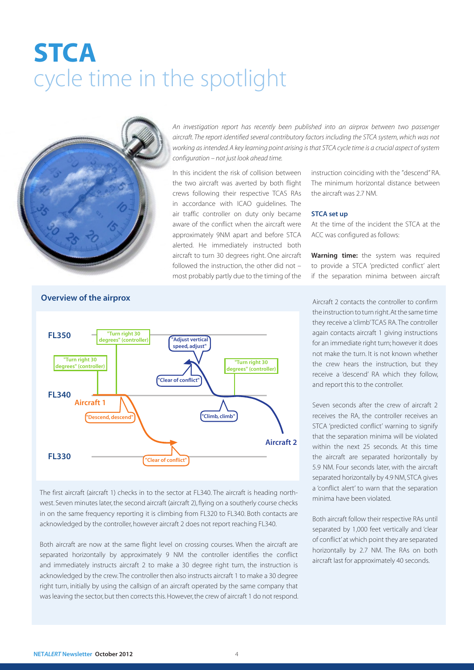## **STCA** cycle time in the spotlight



*An investigation report has recently been published into an airprox between two passenger aircraft. The report identified several contributory factors including the STCA system, which was not working as intended. A key learning point arising is that STCA cycle time is a crucial aspect of system configuration – not just look ahead time.* 

In this incident the risk of collision between the two aircraft was averted by both flight crews following their respective TCAS RAs in accordance with ICAO guidelines. The air traffic controller on duty only became aware of the conflict when the aircraft were approximately 9NM apart and before STCA alerted. He immediately instructed both aircraft to turn 30 degrees right. One aircraft followed the instruction, the other did not – most probably partly due to the timing of the

instruction coinciding with the "descend" RA. The minimum horizontal distance between the aircraft was 2.7 NM.

#### STCA set up

At the time of the incident the STCA at the ACC was configured as follows:

Warning time: the system was required to provide a STCA 'predicted conflict' alert if the separation minima between aircraft



The first aircraft (aircraft 1) checks in to the sector at FL340. The aircraft is heading northwest. Seven minutes later, the second aircraft (aircraft 2), flying on a southerly course checks in on the same frequency reporting it is climbing from FL320 to FL340. Both contacts are acknowledged by the controller, however aircraft 2 does not report reaching FL340.

Both aircraft are now at the same flight level on crossing courses. When the aircraft are separated horizontally by approximately 9 NM the controller identifies the conflict and immediately instructs aircraft 2 to make a 30 degree right turn, the instruction is acknowledged by the crew. The controller then also instructs aircraft 1 to make a 30 degree right turn, initially by using the callsign of an aircraft operated by the same company that was leaving the sector, but then corrects this. However, the crew of aircraft 1 do not respond.

Aircraft 2 contacts the controller to confirm the instruction to turn right. At the same time they receive a 'climb' TCAS RA. The controller again contacts aircraft 1 giving instructions for an immediate right turn; however it does not make the turn. It is not known whether the crew hears the instruction, but they receive a 'descend' RA which they follow, and report this to the controller.

Seven seconds after the crew of aircraft 2 receives the RA, the controller receives an STCA 'predicted conflict' warning to signify that the separation minima will be violated within the next 25 seconds. At this time the aircraft are separated horizontally by 5.9 NM. Four seconds later, with the aircraft separated horizontally by 4.9 NM, STCA gives a 'conflict alert' to warn that the separation minima have been violated.

Both aircraft follow their respective RAs until separated by 1,000 feet vertically and 'clear of conflict' at which point they are separated horizontally by 2.7 NM. The RAs on both aircraft last for approximately 40 seconds.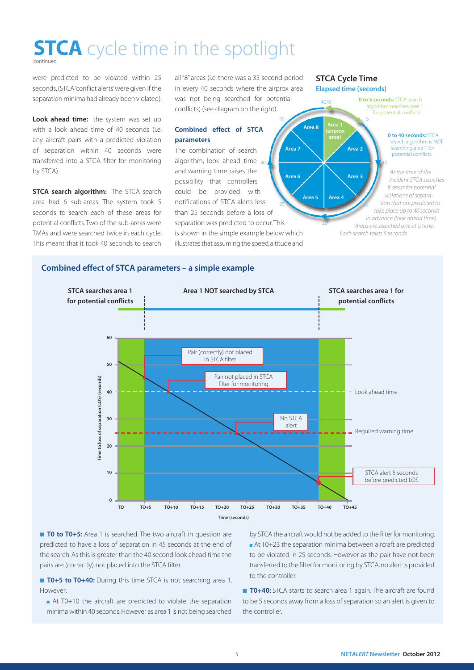### **STCA** cycle time in the spotlight

were predicted to be violated within 25 seconds. (STCA 'conflict alerts' were given if the separation minima had already been violated).

Look ahead time: the system was set up with a look ahead time of 40 seconds (i.e. any aircraft pairs with a predicted violation of separation within 40 seconds were transferred into a STCA filter for monitoring by STCA).

**STCA search algorithm:** The STCA search area had 6 sub-areas. The system took 5 seconds to search each of these areas for potential conflicts. Two of the sub-areas were TMAs and were searched twice in each cycle. This meant that it took 40 seconds to search all "8" areas (i.e. there was a 35 second period in every 40 seconds where the airprox area was not being searched for potential conflicts) (see diagram on the right).

35

#### Combined effect of STCA parameters

The combination of search algorithm, look ahead time <sub>30</sub> and warning time raises the possibility that controllers could be provided with notifications of STCA alerts less than 25 seconds before a loss of separation was predicted to occur. This is shown in the simple example below which illustrates that assuming the speed, altitude and Area 6 Area 7 25

STCA Cycle Time Elapsed time (seconds)



#### Combined effect of STCA parameters – a simple example



■ **T0 to T0+5:** Area 1 is searched. The two aircraft in question are predicted to have a loss of separation in 45 seconds at the end of the search. As this is greater than the 40 second look ahead time the pairs are (correctly) not placed into the STCA filter.

■ T0+5 to T0+40: During this time STCA is not searching area 1. However:

■ At T0+10 the aircraft are predicted to violate the separation minima within 40 seconds. However as area 1 is not being searched

by STCA the aircraft would not be added to the filter for monitoring. ■ At T0+23 the separation minima between aircraft are predicted to be violated in 25 seconds. However as the pair have not been transferred to the filter for monitoring by STCA, no alert is provided to the controller.

**T0+40:** STCA starts to search area 1 again. The aircraft are found to be 5 seconds away from a loss of separation so an alert is given to the controller.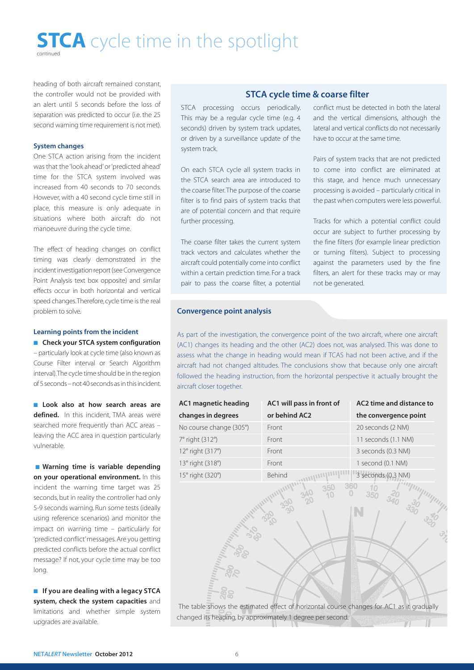## **STCA** cycle time in the spotlight

heading of both aircraft remained constant, the controller would not be provided with an alert until 5 seconds before the loss of separation was predicted to occur (i.e. the 25 second warning time requirement is not met).

#### System changes

One STCA action arising from the incident was that the 'look ahead' or 'predicted ahead' time for the STCA system involved was increased from 40 seconds to 70 seconds. However, with a 40 second cycle time still in place, this measure is only adequate in situations where both aircraft do not manoeuvre during the cycle time.

The effect of heading changes on conflict timing was clearly demonstrated in the incident investigation report (see Convergence Point Analysis text box opposite) and similar effects occur in both horizontal and vertical speed changes. Therefore, cycle time is the real problem to solve.

#### Learning points from the incident

■ Check your STCA system configuration – particularly look at cycle time (also known as Course Filter interval or Search Algorithm interval). The cycle time should be in the region of 5 seconds – not 40 seconds as in this incident.

■ Look also at how search areas are defined. In this incident, TMA areas were searched more frequently than ACC areas – leaving the ACC area in question particularly vulnerable.

■ Warning time is variable depending on your operational environment. In this incident the warning time target was 25 seconds, but in reality the controller had only 5-9 seconds warning. Run some tests (ideally using reference scenarios) and monitor the impact on warning time – particularly for 'predicted conflict' messages. Are you getting predicted conflicts before the actual conflict message? If not, your cycle time may be too long.

■ If you are dealing with a legacy STCA system, check the system capacities and limitations and whether simple system upgrades are available.

#### STCA cycle time & coarse filter

STCA processing occurs periodically. This may be a regular cycle time (e.g. 4 seconds) driven by system track updates, or driven by a surveillance update of the system track.

On each STCA cycle all system tracks in the STCA search area are introduced to the coarse filter. The purpose of the coarse filter is to find pairs of system tracks that are of potential concern and that require further processing.

The coarse filter takes the current system track vectors and calculates whether the aircraft could potentially come into conflict within a certain prediction time. For a track pair to pass the coarse filter, a potential conflict must be detected in both the lateral and the vertical dimensions, although the lateral and vertical conflicts do not necessarily have to occur at the same time.

Pairs of system tracks that are not predicted to come into conflict are eliminated at this stage, and hence much unnecessary processing is avoided – particularly critical in the past when computers were less powerful.

Tracks for which a potential conflict could occur are subject to further processing by the fine filters (for example linear prediction or turning filters). Subject to processing against the parameters used by the fine filters, an alert for these tracks may or may not be generated.

 $\frac{10}{350}$ 

#### Convergence point analysis

As part of the investigation, the convergence point of the two aircraft, where one aircraft (AC1) changes its heading and the other (AC2) does not, was analysed. This was done to assess what the change in heading would mean if TCAS had not been active, and if the aircraft had not changed altitudes. The conclusions show that because only one aircraft followed the heading instruction, from the horizontal perspective it actually brought the aircraft closer together.

| AC1 magnetic heading    | AC1 will pass in front of | AC2 time and distance to |
|-------------------------|---------------------------|--------------------------|
| changes in degrees      | or behind AC2             | the convergence point    |
| No course change (305°) | Front                     | 20 seconds (2 NM)        |
| 7° right (312°)         | Front                     | 11 seconds (1.1 NM)      |
| 12° right (317°)        | Front                     | 3 seconds (0.3 NM)       |
| 13° right (318°)        | Front                     | 1 second (0.1 NM)        |
| 15° right (320°)        | Behind                    | 3 seconds (0.3 NM)       |

ลัด

 The table shows the estimated effect of horizontal course changes for AC1 as it gradually changed its heading, by approximately 1 degree per second.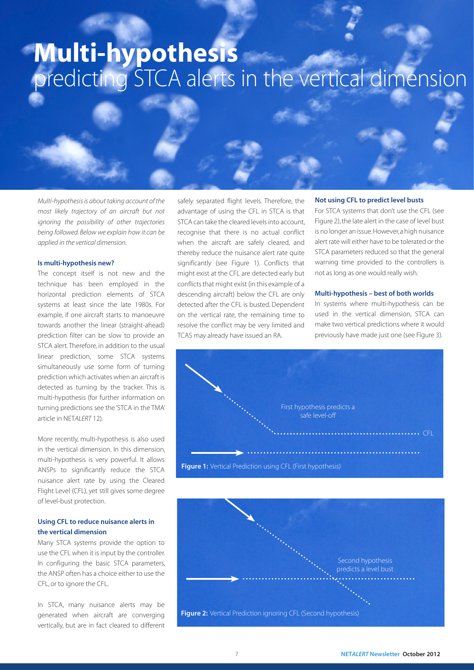### Multi-hypothesis predicting STCA alerts in the vertical dimension

*Multi-hypothesis is about taking account of the most likely trajectory of an aircraft but not ignoring the possibility of other trajectories being followed. Below we explain how it can be applied in the vertical dimension.*

#### Is multi-hypothesis new?

The concept itself is not new and the technique has been employed in the horizontal prediction elements of STCA systems at least since the late 1980s. For example, if one aircraft starts to manoeuvre towards another the linear (straight-ahead) prediction filter can be slow to provide an STCA alert. Therefore, in addition to the usual linear prediction, some STCA systems simultaneously use some form of turning prediction which activates when an aircraft is detected as turning by the tracker. This is multi-hypothesis (for further information on turning predictions see the 'STCA in the TMA' article in NET*ALERT* 12).

More recently, multi-hypothesis is also used in the vertical dimension. In this dimension, multi-hypothesis is very powerful. It allows ANSPs to significantly reduce the STCA nuisance alert rate by using the Cleared Flight Level (CFL), yet still gives some degree of level-bust protection.

#### Using CFL to reduce nuisance alerts in the vertical dimension

Many STCA systems provide the option to use the CFL when it is input by the controller. In configuring the basic STCA parameters, the ANSP often has a choice either to use the CFL, or to ignore the CFL.

In STCA, many nuisance alerts may be generated when aircraft are converging vertically, but are in fact cleared to different

safely separated flight levels. Therefore, the advantage of using the CFL in STCA is that STCA can take the cleared levels into account, recognise that there is no actual conflict when the aircraft are safely cleared, and thereby reduce the nuisance alert rate quite significantly (see Figure 1). Conflicts that might exist at the CFL are detected early but conflicts that might exist (in this example of a descending aircraft) below the CFL are only detected after the CFL is busted. Dependent on the vertical rate, the remaining time to resolve the conflict may be very limited and TCAS may already have issued an RA.

#### Not using CFL to predict level busts

For STCA systems that don't use the CFL (see Figure 2), the late alert in the case of level bust is no longer an issue. However, a high nuisance alert rate will either have to be tolerated or the STCA parameters reduced so that the general warning time provided to the controllers is not as long as one would really wish.

#### Multi-hypothesis – best of both worlds

In systems where multi-hypothesis can be used in the vertical dimension, STCA can make two vertical predictions where it would previously have made just one (see Figure 3).



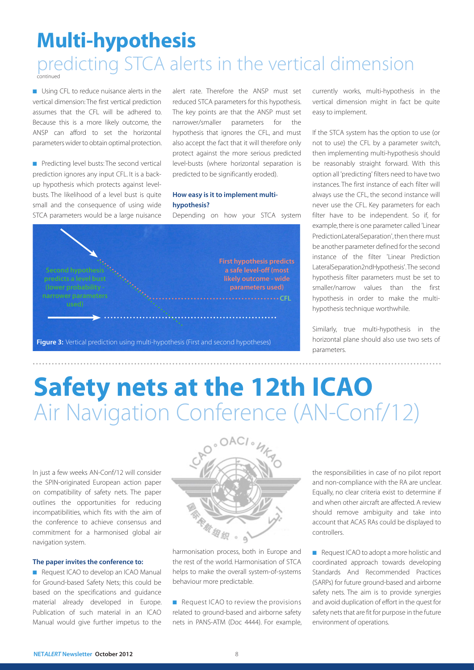# Multi-hypothesis

#### predicting STCA alerts in the vertical dimension continued

■ Using CFL to reduce nuisance alerts in the vertical dimension: The first vertical prediction assumes that the CFL will be adhered to. Because this is a more likely outcome, the ANSP can afford to set the horizontal parameters wider to obtain optimal protection.

■ Predicting level busts: The second vertical prediction ignores any input CFL. It is a backup hypothesis which protects against levelbusts. The likelihood of a level bust is quite small and the consequence of using wide STCA parameters would be a large nuisance

alert rate. Therefore the ANSP must set reduced STCA parameters for this hypothesis. The key points are that the ANSP must set narrower/smaller parameters for the hypothesis that ignores the CFL, and must also accept the fact that it will therefore only protect against the more serious predicted level-busts (where horizontal separation is predicted to be significantly eroded).

#### How easy is it to implement multihypothesis?

Depending on how your STCA system



currently works, multi-hypothesis in the vertical dimension might in fact be quite easy to implement.

If the STCA system has the option to use (or not to use) the CFL by a parameter switch, then implementing multi-hypothesis should be reasonably straight forward. With this option all 'predicting' filters need to have two instances. The first instance of each filter will always use the CFL, the second instance will never use the CFL. Key parameters for each filter have to be independent. So if, for example, there is one parameter called 'Linear PredictionLateralSeparation', then there must be another parameter defined for the second instance of the filter 'Linear Prediction LateralSeparation2ndHypothesis'. The second hypothesis filter parameters must be set to smaller/narrow values than the first hypothesis in order to make the multihypothesis technique worthwhile.

Similarly, true multi-hypothesis in the horizontal plane should also use two sets of parameters.

. . . . . . . . . . . . . . . . .

## Safety nets at the 12th ICAO Air Navigation Conference (AN-Conf/12)

In just a few weeks AN-Conf/12 will consider the SPIN-originated European action paper on compatibility of safety nets. The paper outlines the opportunities for reducing incompatibilities, which fits with the aim of the conference to achieve consensus and commitment for a harmonised global air navigation system.

#### The paper invites the conference to:

■ Request ICAO to develop an ICAO Manual for Ground-based Safety Nets; this could be based on the specifications and guidance material already developed in Europe. Publication of such material in an ICAO Manual would give further impetus to the



harmonisation process, both in Europe and the rest of the world. Harmonisation of STCA helps to make the overall system-of-systems behaviour more predictable.

■ Request ICAO to review the provisions related to ground-based and airborne safety nets in PANS-ATM (Doc 4444). For example, the responsibilities in case of no pilot report and non-compliance with the RA are unclear. Equally, no clear criteria exist to determine if and when other aircraft are affected. A review should remove ambiguity and take into account that ACAS RAs could be displayed to controllers.

■ Request ICAO to adopt a more holistic and coordinated approach towards developing Standards And Recommended Practices (SARPs) for future ground-based and airborne safety nets. The aim is to provide synergies and avoid duplication of effort in the quest for safety nets that are fit for purpose in the future environment of operations.